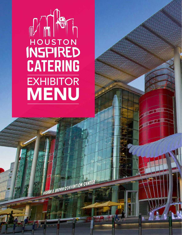# MANTON **CATERING EXHIBITOR** MENU

GEORGE R. BROWN CONVENTION CENTER

**TAGUER** 

h.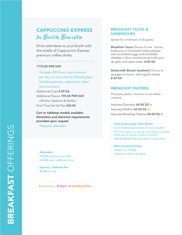## CAPPUCCINO EXPRESS **In Booth Barista**

Drive attendees to your booth with the smells of Cappuccino Express premium coffee drinks.

#### 1775.00 PER DAY

*\*Includes 250 (8 oz.) cups minimum per day, no carry over to following days. Includes espresso, cappuccino, lattes and americano.*

Additional Cups 5.50 EA Additional Flavors 195.00 PER DAY

( Mocha, Hazelnut & Vanilla ) One-Time Set Up Fee 240.00

Cart or tabletop models available. Dimenions and electrical requirements provided upon request.

*\*Requires attendant.*

*Attendant 275.00 per four-hour shift +35.00 each additional hour* 

*Delivery / Refresh Fee 35.00 per trip*

● Vegetarian ● Vegan ● Avoiding Gluten

### BREAKFAST TACOS & **SANDWICHES**

*Served for a minimum of 25 guests.*

*Breakfast Tacos* Choice of one - bacon, barbacoa or homestyle hash potatoes with scrambled eggs and shredded cheddar in flour tortillas served with pico de gallo and salsa verde. 6.00 EA

*Buttermilk Biscuit Sandwich* Choice of sausage or bacon, with egg & cheese. 8.50 EA

#### BREAKFAST PASTRIES

*Priced per dozen, minimum of one dozen required.* 

Assorted Danishes 60.00 DZ · Assorted Muffins 60.00 DZ · Assorted Breakfast Pastries 60.00 DZ .

#### *Food & Beverage Table Rental*

*Food & Beverage tables are not included HIC will expect to set up on exisiting counter/ table space unless a table is rented 150.00 Rental Fee will apply if requested*

*Menu Items & Pricing Subject to change Additional fees may apply*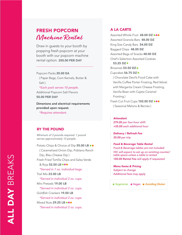## FRESH POPCORN **Machine Rental**

Draw in guests to your booth by popping fresh popcorn at your booth with our popcorn machine rental option. 250.00 PER DAY

Popcorn Packs 20.00 EA ( Paper Bags, Corn Kernels, Butter & Salt )

*\*Each pack serves 10 people.* Additional Popcorn Salt Flavors 50.00 PER DAY

Dimenions and electrical requirements provided upon request.

*\*Requires attendant.*

#### BY THE POUND

*Minimum of 3 pounds required. 1 pound serves approximately 12 people.* 

Potato Chips & Choice of Dip 55.00 LB .. ( Caramelized Onion Dip, Poblano Ranch Dip, Bleu Cheese Dip ) Fresh Fried Tortilla Chips and Salsa Verde & Roja 52.50 LB  $\bullet \bullet \bullet$ *\*Served in 1 oz. individual bags.* Trail Mix 23.00 LB *\*Served in individual 2 oz. cups.* Mini Pretzels 19.00 LB *\*Served in individual 2 oz. cups.* Goldfish Crackers 19.00 LB *\*Served in individual 2 oz. cups.* Mixed Nuts 29.25 LB  $\bullet\bullet\bullet$ *\*Served in individual 2 oz. cups.*

#### A LA CARTE

Assorted Whole Fruit 48.00 DZ ... Assorted Granola Bars 48.00 DZ King Size Candy Bars 54.00 DZ Bagged Chips 48.00 DZ Assorted Bags of Snacks 48.00 DZ Chef's Selection Assorted Cookies 53.25 DZ Brownies 53.50 DZ · Cupcakes 56.75 DZ · ( Chocolate Devil's Food Cake with Vanilla Coffee Porter Frosting, Red Velvet with Margarita Cream Cheese Frosting, Vanilla Bean with Cajeta Caramel Frosting ) Fresh Cut Fruit Cups 102.00 DZ ... ( Seasonal Melons & Berries )

#### *Attendant*

*275.00 per four-hour shift +35.00 each additional hour* 

*Delivery / Refresh Fee 35.00 per trip*

*Food & Beverage Table Rental Food & Beverage tables are not included HIC will expect to set up on exisiting counter/ table space unless a table is rented 150.00 Rental Fee will apply if requested*

*Menu Items & Pricing Subject to change Additional fees may apply* 

● Vegetarian ● Vegan ● Avoiding Gluten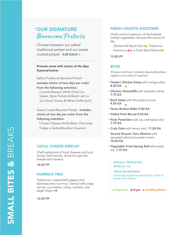## OUR SIGNATURE *\** **Bavarian Pretzels**

Choose between our salted traditional pretzel and our sweet coated pretzel. 9.00 EACH

#### Pretzels come with choice of the dips featured below.

Salted Traditional Bavarian Pretzel - Includes choice of two dips per order from the following selection:

( Creole Mustard, White Chile Con Queso, Spicy Tomato & Bacon Jam or Sun Dried Tomato & White Truffle Aioli )

Sweet Coated Bavarian Pretzel - **Includes** choice of one dip per order from the following selection:

( Cream Cheese-Vanilla Bean, Chocolate Fudge or Salted Bourbon Caramel )

#### LOCAL CHEESE DISPLAY

Chef's selections of local cheeses and local honey, fresh berries, dried fruit garnish, breads and crackers.

16.00 PP

#### HUMMUS TRIO

Traditional, roasted bell pepper and kalamata olive hummus'. Served with crispy carrots, cucumbers, celery, crackers, and bagel chips.  $\bullet \bullet$ 

12.00 PP

#### FRESH CRUDITE SHOOTERS

Chef's colorful selection of the freshest market vegetables. Served with choice of dip.

(Buttermilk Ranch Dip  $\bullet\bullet$ , Traditional Hummus  $\bullet \bullet \bullet$  or Fresh Basil Pesto  $\bullet \bullet$ )

12.00 PP

#### BITES

*50 piece minimum; includes disposable plates, napkins and cutlery if required.* 

- *Tandori Chicken Satay* with mango salsa. 8.50 EA
- *Chicken Quesadilla* with avocado crema. 7.75 EA \*\*\*\*\*\*\*\*\*\*\*\*\*\*\*\*
- \* Beef Satay with thai peanut sauce. 9.50 EA
- *Texas Brisket Slider* 9.00 EA
- *Pulled Pork Biscuit* 8.50 EA
- *Pork Potsticker* with soy and sweet chili. 7.75 EA
- *Crab Cake* with lemon aioli. 11.00 EA

*Seared Sesame Tuna Wonton* with seaweed salad and wasabi cream. 10.00 EA

*Vegetable Fried Spring Roll* with sweet soy. 7.75 EA

*Delivery / Refresh Fee 35.00 per trip*

*\*Items Served Warm*

*Electricity might be required by client to power heat lamps*

● Vegetarian ● Vegan ● Avoiding Gluten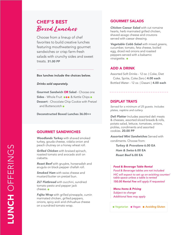## CHEF'S BEST **Boxed Lunches**

Choose from a lineup of chef favorites to build creative lunches featuring mouthwatering gourmet sandwiches or crisp farm-fresh salads with crunchy sides and sweet treats. 31.00 PP

#### Box lunches include the choices below.

*Drinks sold separately.* 

Gourmet Sandwich OR Salad - Choose one Sides - Whole Fruit  $\bullet \bullet \bullet \&$  Kettle Chips Dessert - Chocolate Chip Cookie with Pretzel and Butterscotch

Deconstructed Boxed Lunches 36.00++

#### GOURMET SANDWICHES

*Woodlands Turkey* with shaved smoked turkey, gouda cheese, vidalia onion and peach chutney on a honey wheat roll.

*Grilled Chicken* with braised spinach, roasted tomato and avocado aioli on ciabatta.

*Roast Beef* with gruyère, horseradish and arugula on black pepper challah roll.

*Smoked Ham* with swiss cheese and mustard butter on pretzel bun.

*ZLT Flatbread* with zucchini, sundried tomato pesto and pepper jack cheese.

*Fajita Wrap* with grilled pineapple, cumin marinated chicken, grilled peppers, onions, spicy aioli and chihuahua cheese on a sundried tomato wrap.

#### GOURMET SALADS

*Chicken Caesar Salad* with cut romaine hearts, herb marinated grilled chicken, shaved asiago cheese and croutons served with caesar dressing.

*Vegetable Cobb Salad* with mixed greens, cucumber, tomato, feta cheese, boiled egg, diced red onions and roasted peppers served with a balsamic vinaigrette.  $\bullet$ 

#### ADD A DRINK

Assorted Soft Drinks - 12 oz. ( Coke, Diet Coke, Sprite, Coke Zero ) 4.00 each Bottled Water - 12 oz. (Dasani) **4.00 each** 

#### DISPLAY TRAYS

*Served for a minimum of 25 guests. Includes plates, napkins and cutlery.* 

**Deli Platter** Includes assorted deli meats & cheeses, assorted sliced breads & rolls, potato salad, lettuce, tomatoes, onions, pickles, condiments and assorted cookies. 20.00 PP

*Assorted Mini Sandwiches* Served with condiments. Choose from:

*Turkey & Provolone* 6.00 EA *Ham & Swiss* 6.00 EA *Roast Beef* 6.00 EA

#### *Food & Beverage Table Rental*

*Food & Beverage tables are not included HIC will expect to set up on exisiting counter/ table space unless a table is rented 150.00 Rental Fee will apply if requested*

*Menu Items & Pricing Subject to change Additional fees may apply* 

● Vegetarian ● Vegan ● Avoiding Gluten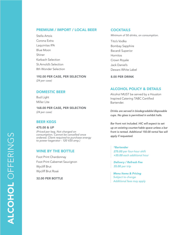#### PREMIUM / IMPORT / LOCAL BEER COCKTAILS

Stella Artois Corona Extra Laquinitas IPA Blue Moon Shiner Karbach Selection St.Arnold's Selection 8th Wonder Selection

#### 192.00 PER CASE, PER SELECTION 8.00 PER DRINK

*(24 per case)*

#### DOMESTIC BEER

Bud Light Miller Lite

168.00 PER CASE, PER SELECTION *(24 per case)*

#### BEER KEGS

#### 475.00 & UP

*(Priced per keg. Not charged on consumption. Cannot be cancelled once ordered. Client required to purchase energy to power kegerator - 120 V20 amp.)*

#### WINE BY THE BOTTLE

Foot Print Chardonnay Foot Print Cabernet Sauvignon Wycliff Brut Wycliff Brut Rosé

32.00 PER BOTTLE

*Minimum of 50 drinks, on consumption.* 

Tito's Vodka Bombay Sapphire Bacardi Superior Hornitos Crown Royale Jack Daniel's Dewars White Label

#### ALCOHOL POLICY & DETAILS

Alcohol MUST be served by a Houston Inspired Catering TABC Certified Bartender.

*Drinks are served in biodegradable/disposable cups. No glass is permitted in exhibit halls.* 

*Bar front not included. HIC will expect to set up on existing counter/table space unless a bar front is rented. Additional 150.00 rental fee will apply if requested.*

#### *\*Bartender*

*275.00 per four-hour shift +35.00 each additional hour* 

*Delivery / Refresh Fee 35.00 per trip*

*Menu Items & Pricing Subject to change Additional fees may apply*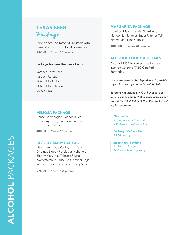## TEXAS BEER **Package**

Experience the taste of Houston with beer offerings from local breweries. 840.00++ *Serves 120 people*

#### Package features the beers below.

Karbach Lovestreet Karbach Rotation St.Arnold's Amber St.Arnold's Rotation Shiner Bock

#### MIMOSA PACKAGE

House Champagne, Orange Juice, Cranberry Juice, Pineapple Juice and Disposable Flutes.

400.00++ *Serves 50 people*

#### BLOODY MARY PACKAGE

Tito's Handmade Vodka, Zing Zang Original, Bloody Revolution Habanero, Bloody Mary Mix, Tobasco Sauce, Worcestershire Sauce, Salt Rimmer, Tajin Rimmer, Olives, Limes and Celery Sticks.

975.00++ *Serves 100 people*

#### MARGARITA PACKAGE

Hornitos, Margarita Mix, Strawberry, Mango, Salt Rimmer, Sugar Rimmer, Tajin Rimmer and Lime Garnish.

1000.00++ *Serves 100 people*

#### ALCOHOL POLICY & DETAILS

Alcohol MUST be served by a Houston Inspired Catering TABC Certified Bartender.

*Drinks are served in biodegradable/disposable cups. No glass is permitted in exhibit halls.* 

*Bar front not included. HIC will expect to set up on existing counter/table space unless a bar front is rented. Additional 150.00 rental fee will apply if requested.*

*\*Bartender 275.00 per four-hour shift +35.00 each additional hour* 

*Delivery / Refresh Fee 35.00 per trip*

*Menu Items & Pricing Subject to change Additional fees may apply*